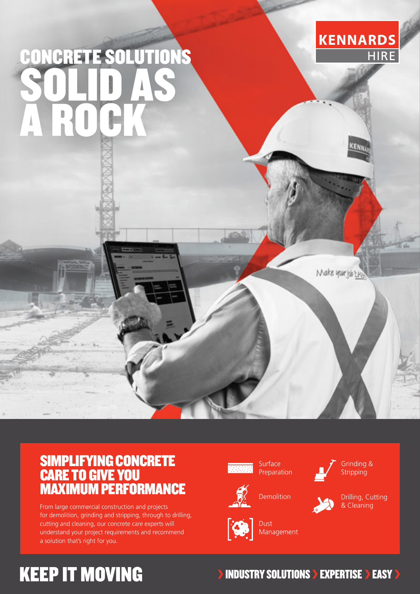# CONCRETE SOLUTIONS SOLID AS A ROCK



EN<sub>N</sub>

Make your job EH

#### SIMPLIFYING CONCRETE CARE TO GIVE YOU MAXIMUM PERFORMANCE

From large commercial construction and projects for demolition, grinding and stripping, through to drilling, cutting and cleaning, our concrete care experts will understand your project requirements and recommend a solution that's right for you.

Surface Preparation



Grinding & **Stripping** 



Drilling, Cutting & Cleaning



**Dust** Management

**Demolition** 

### **KEEP IT MOVING**

#### **INDUSTRY SOLUTIONS > EXPERTISE > EASY >**